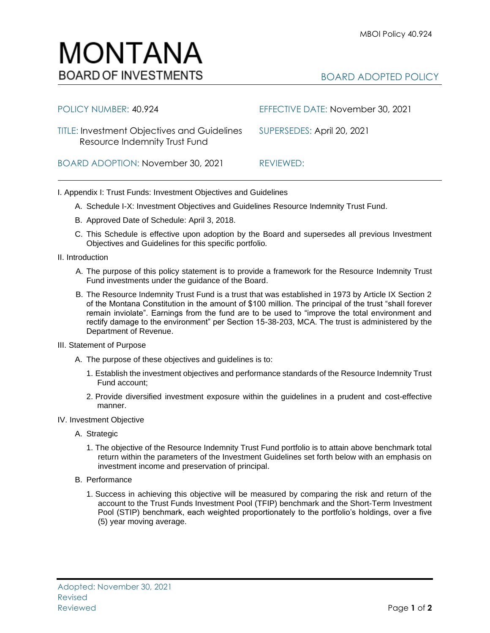## MONTANA **BOARD OF INVESTMENTS**

## BOARD ADOPTED POLICY

| POLICY NUMBER: 40.924                                                               | EFFECTIVE DATE: November 30, 2021 |
|-------------------------------------------------------------------------------------|-----------------------------------|
| <b>TITLE: Investment Objectives and Guidelines</b><br>Resource Indemnity Trust Fund | SUPERSEDES: April 20, 2021        |
| BOARD ADOPTION: November 30, 2021                                                   | REVIEWED:                         |

I. Appendix I: Trust Funds: Investment Objectives and Guidelines

- A. Schedule I-X: Investment Objectives and Guidelines Resource Indemnity Trust Fund.
- B. Approved Date of Schedule: April 3, 2018.
- C. This Schedule is effective upon adoption by the Board and supersedes all previous Investment Objectives and Guidelines for this specific portfolio*.*
- II. Introduction
	- A. The purpose of this policy statement is to provide a framework for the Resource Indemnity Trust Fund investments under the guidance of the Board.
	- B. The Resource Indemnity Trust Fund is a trust that was established in 1973 by Article IX Section 2 of the Montana Constitution in the amount of \$100 million. The principal of the trust "shall forever remain inviolate". Earnings from the fund are to be used to "improve the total environment and rectify damage to the environment" per Section 15-38-203, MCA. The trust is administered by the Department of Revenue.
- III. Statement of Purpose
	- A. The purpose of these objectives and guidelines is to:
		- 1. Establish the investment objectives and performance standards of the Resource Indemnity Trust Fund account;
		- 2. Provide diversified investment exposure within the guidelines in a prudent and cost-effective manner.
- IV. Investment Objective
	- A. Strategic
		- 1. The objective of the Resource Indemnity Trust Fund portfolio is to attain above benchmark total return within the parameters of the Investment Guidelines set forth below with an emphasis on investment income and preservation of principal.
	- B. Performance
		- 1. Success in achieving this objective will be measured by comparing the risk and return of the account to the Trust Funds Investment Pool (TFIP) benchmark and the Short-Term Investment Pool (STIP) benchmark, each weighted proportionately to the portfolio's holdings, over a five (5) year moving average.